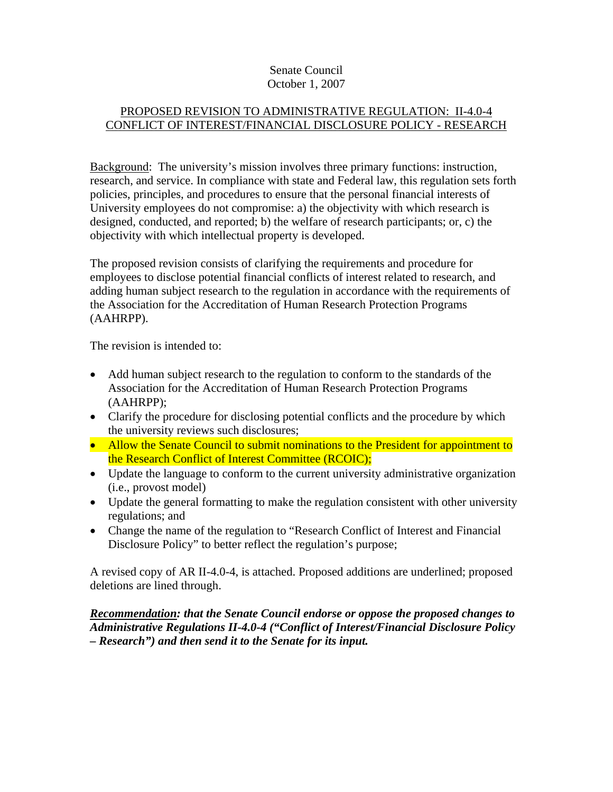#### Senate Council October 1, 2007

### PROPOSED REVISION TO ADMINISTRATIVE REGULATION: II-4.0-4 CONFLICT OF INTEREST/FINANCIAL DISCLOSURE POLICY - RESEARCH

Background: The university's mission involves three primary functions: instruction, research, and service. In compliance with state and Federal law, this regulation sets forth policies, principles, and procedures to ensure that the personal financial interests of University employees do not compromise: a) the objectivity with which research is designed, conducted, and reported; b) the welfare of research participants; or, c) the objectivity with which intellectual property is developed.

The proposed revision consists of clarifying the requirements and procedure for employees to disclose potential financial conflicts of interest related to research, and adding human subject research to the regulation in accordance with the requirements of the Association for the Accreditation of Human Research Protection Programs (AAHRPP).

The revision is intended to:

- Add human subject research to the regulation to conform to the standards of the Association for the Accreditation of Human Research Protection Programs (AAHRPP);
- Clarify the procedure for disclosing potential conflicts and the procedure by which the university reviews such disclosures;
- Allow the Senate Council to submit nominations to the President for appointment to the Research Conflict of Interest Committee (RCOIC);
- Update the language to conform to the current university administrative organization (i.e., provost model)
- Update the general formatting to make the regulation consistent with other university regulations; and
- Change the name of the regulation to "Research Conflict of Interest and Financial Disclosure Policy" to better reflect the regulation's purpose;

A revised copy of AR II-4.0-4, is attached. Proposed additions are underlined; proposed deletions are lined through.

### *Recommendation: that the Senate Council endorse or oppose the proposed changes to Administrative Regulations II-4.0-4 ("Conflict of Interest/Financial Disclosure Policy – Research") and then send it to the Senate for its input.*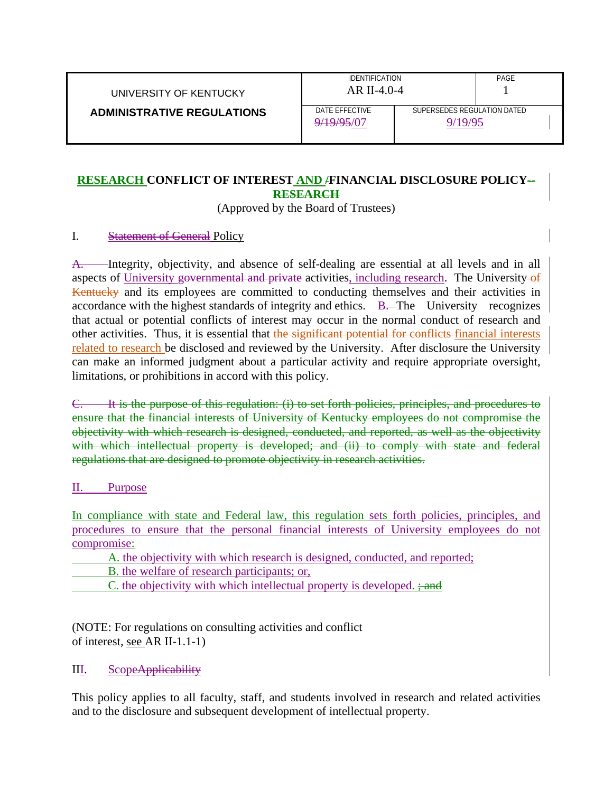| UNIVERSITY OF KENTUCKY            | <b>IDENTIFICATION</b><br>AR II-4.0-4 |  | PAGE                                   |  |
|-----------------------------------|--------------------------------------|--|----------------------------------------|--|
| <b>ADMINISTRATIVE REGULATIONS</b> | DATE EFFECTIVE<br>9/19/95/07         |  | SUPERSEDES REGULATION DATED<br>9/19/95 |  |

# **RESEARCH CONFLICT OF INTEREST AND /FINANCIAL DISCLOSURE POLICY-- RESEARCH**

(Approved by the Board of Trustees)

### I. Statement of General Policy

A. Integrity, objectivity, and absence of self-dealing are essential at all levels and in all aspects of University governmental and private activities, including research. The University of Kentucky and its employees are committed to conducting themselves and their activities in accordance with the highest standards of integrity and ethics. B. The University recognizes that actual or potential conflicts of interest may occur in the normal conduct of research and other activities. Thus, it is essential that the significant potential for conflicts financial interests related to research be disclosed and reviewed by the University. After disclosure the University can make an informed judgment about a particular activity and require appropriate oversight, limitations, or prohibitions in accord with this policy.

C. It is the purpose of this regulation: (i) to set forth policies, principles, and procedures to ensure that the financial interests of University of Kentucky employees do not compromise the objectivity with which research is designed, conducted, and reported, as well as the objectivity with which intellectual property is developed; and (ii) to comply with state and federal regulations that are designed to promote objectivity in research activities.

#### II. Purpose

In compliance with state and Federal law, this regulation sets forth policies, principles, and procedures to ensure that the personal financial interests of University employees do not compromise:

A. the objectivity with which research is designed, conducted, and reported;

B. the welfare of research participants; or,

C. the objectivity with which intellectual property is developed.  $\div$  and

(NOTE: For regulations on consulting activities and conflict of interest, see AR II-1.1-1)

# III. ScopeApplicability

This policy applies to all faculty, staff, and students involved in research and related activities and to the disclosure and subsequent development of intellectual property.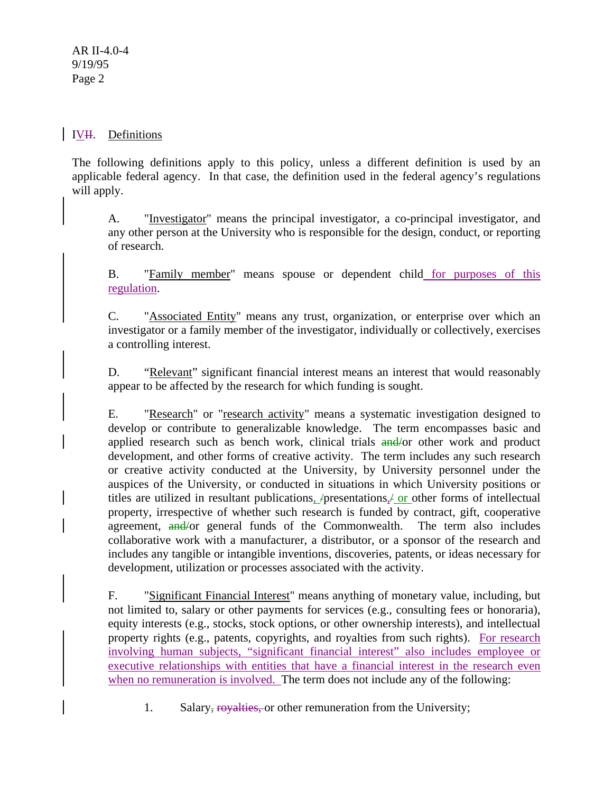### IVH. Definitions

The following definitions apply to this policy, unless a different definition is used by an applicable federal agency. In that case, the definition used in the federal agency's regulations will apply.

A. "Investigator" means the principal investigator, a co-principal investigator, and any other person at the University who is responsible for the design, conduct, or reporting of research.

B. "Family member" means spouse or dependent child for purposes of this regulation.

C. "Associated Entity" means any trust, organization, or enterprise over which an investigator or a family member of the investigator, individually or collectively, exercises a controlling interest.

D. "Relevant" significant financial interest means an interest that would reasonably appear to be affected by the research for which funding is sought.

E. "Research" or "research activity" means a systematic investigation designed to develop or contribute to generalizable knowledge. The term encompasses basic and applied research such as bench work, clinical trials and/or other work and product development, and other forms of creative activity. The term includes any such research or creative activity conducted at the University, by University personnel under the auspices of the University, or conducted in situations in which University positions or titles are utilized in resultant publications,  $/$ presentations, $/$  or other forms of intellectual property, irrespective of whether such research is funded by contract, gift, cooperative agreement, and/or general funds of the Commonwealth. The term also includes collaborative work with a manufacturer, a distributor, or a sponsor of the research and includes any tangible or intangible inventions, discoveries, patents, or ideas necessary for development, utilization or processes associated with the activity.

F. "Significant Financial Interest" means anything of monetary value, including, but not limited to, salary or other payments for services (e.g., consulting fees or honoraria), equity interests (e.g., stocks, stock options, or other ownership interests), and intellectual property rights (e.g., patents, copyrights, and royalties from such rights). For research involving human subjects, "significant financial interest" also includes employee or executive relationships with entities that have a financial interest in the research even when no remuneration is involved. The term does not include any of the following:

1. Salary, royalties, or other remuneration from the University;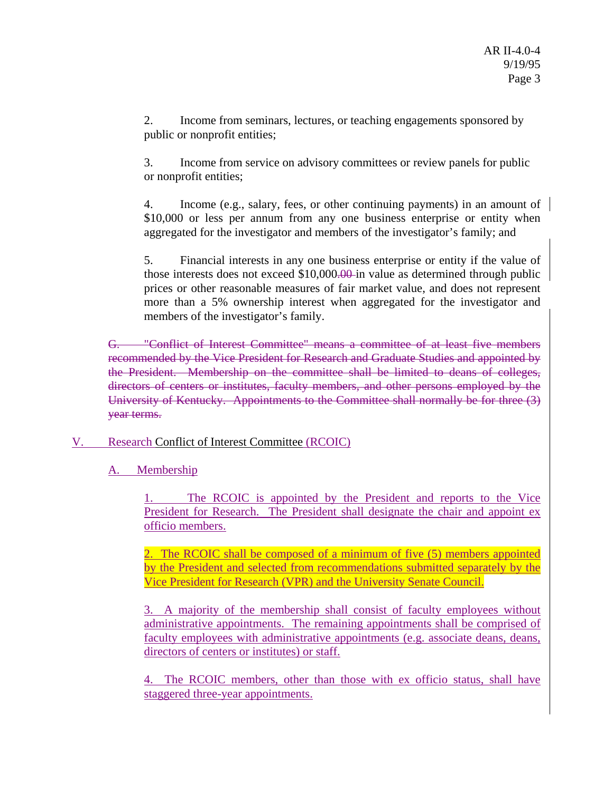2. Income from seminars, lectures, or teaching engagements sponsored by public or nonprofit entities;

 3. Income from service on advisory committees or review panels for public or nonprofit entities;

4. Income (e.g., salary, fees, or other continuing payments) in an amount of \$10,000 or less per annum from any one business enterprise or entity when aggregated for the investigator and members of the investigator's family; and

5. Financial interests in any one business enterprise or entity if the value of those interests does not exceed  $$10,000.00$  in value as determined through public prices or other reasonable measures of fair market value, and does not represent more than a 5% ownership interest when aggregated for the investigator and members of the investigator's family.

G. "Conflict of Interest Committee" means a committee of at least five members recommended by the Vice President for Research and Graduate Studies and appointed by the President. Membership on the committee shall be limited to deans of colleges, directors of centers or institutes, faculty members, and other persons employed by the University of Kentucky. Appointments to the Committee shall normally be for three (3) year terms.

- V. Research Conflict of Interest Committee (RCOIC)
	- A. Membership

The RCOIC is appointed by the President and reports to the Vice President for Research. The President shall designate the chair and appoint ex officio members.

2. The RCOIC shall be composed of a minimum of five (5) members appointed by the President and selected from recommendations submitted separately by the Vice President for Research (VPR) and the University Senate Council.

3. A majority of the membership shall consist of faculty employees without administrative appointments. The remaining appointments shall be comprised of faculty employees with administrative appointments (e.g. associate deans, deans, directors of centers or institutes) or staff.

4. The RCOIC members, other than those with ex officio status, shall have staggered three-year appointments.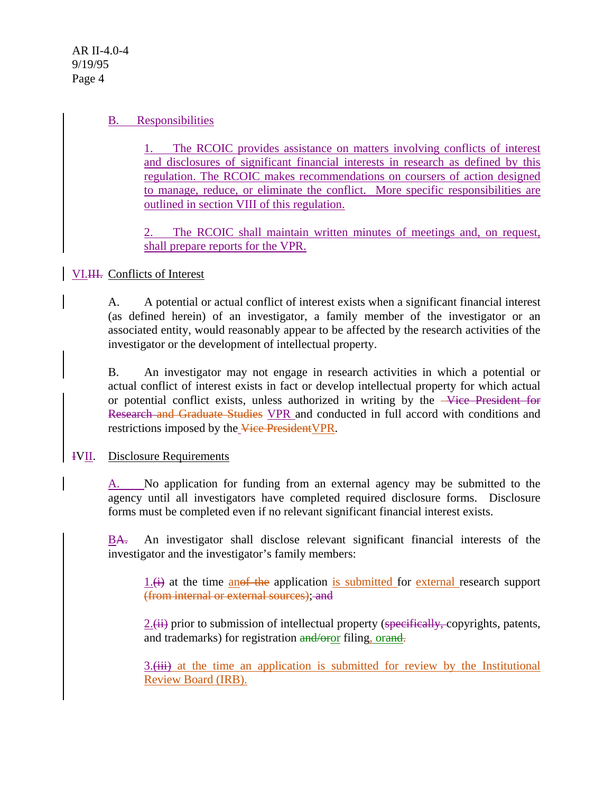AR II-4.0-4 9/19/95 Page 4

#### B. Responsibilities

1. The RCOIC provides assistance on matters involving conflicts of interest and disclosures of significant financial interests in research as defined by this regulation. The RCOIC makes recommendations on coursers of action designed to manage, reduce, or eliminate the conflict. More specific responsibilities are outlined in section VIII of this regulation.

2. The RCOIC shall maintain written minutes of meetings and, on request, shall prepare reports for the VPR.

# VI.III. Conflicts of Interest

A. A potential or actual conflict of interest exists when a significant financial interest (as defined herein) of an investigator, a family member of the investigator or an associated entity, would reasonably appear to be affected by the research activities of the investigator or the development of intellectual property.

B. An investigator may not engage in research activities in which a potential or actual conflict of interest exists in fact or develop intellectual property for which actual or potential conflict exists, unless authorized in writing by the Vice President for Research and Graduate Studies VPR and conducted in full accord with conditions and restrictions imposed by the Vice President VPR.

#### IVII. Disclosure Requirements

A. No application for funding from an external agency may be submitted to the agency until all investigators have completed required disclosure forms. Disclosure forms must be completed even if no relevant significant financial interest exists.

BA. An investigator shall disclose relevant significant financial interests of the investigator and the investigator's family members:

 $1.(\div)$  at the time anof the application is submitted for external research support (from internal or external sources); and

 $2$ .(ii) prior to submission of intellectual property (specifically, copyrights, patents, and trademarks) for registration and/oror filing, orand.

3.(iii) at the time an application is submitted for review by the Institutional Review Board (IRB).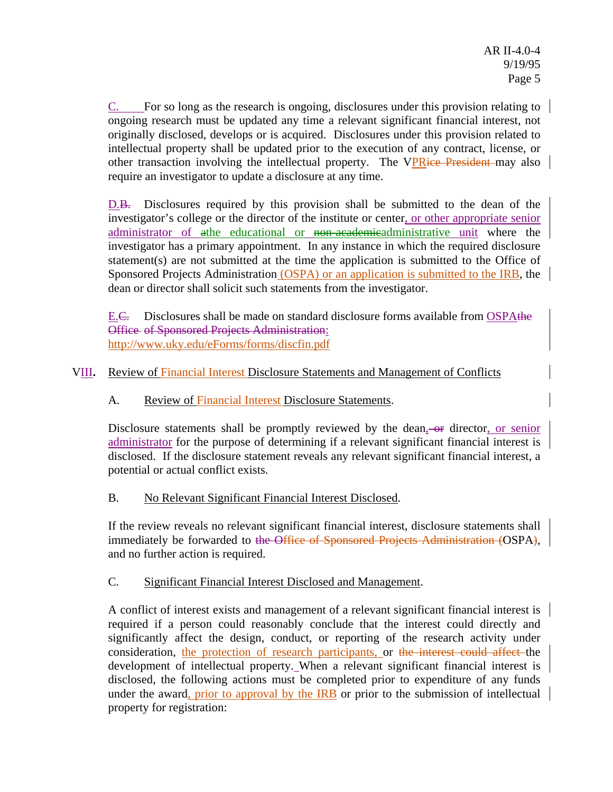C. For so long as the research is ongoing, disclosures under this provision relating to ongoing research must be updated any time a relevant significant financial interest, not originally disclosed, develops or is acquired. Disclosures under this provision related to intellectual property shall be updated prior to the execution of any contract, license, or other transaction involving the intellectual property. The VPRice President may also require an investigator to update a disclosure at any time.

D.B. Disclosures required by this provision shall be submitted to the dean of the investigator's college or the director of the institute or center, or other appropriate senior administrator of athe educational or non-academicadministrative unit where the investigator has a primary appointment. In any instance in which the required disclosure statement(s) are not submitted at the time the application is submitted to the Office of Sponsored Projects Administration (OSPA) or an application is submitted to the IRB, the dean or director shall solicit such statements from the investigator.

E.C. Disclosures shall be made on standard disclosure forms available from OSPAthe Office of Sponsored Projects Administration: http://www.uky.edu/eForms/forms/discfin.pdf

# VIII**.** Review of Financial Interest Disclosure Statements and Management of Conflicts

# A. Review of Financial Interest Disclosure Statements.

Disclosure statements shall be promptly reviewed by the dean, or director, or senior administrator for the purpose of determining if a relevant significant financial interest is disclosed. If the disclosure statement reveals any relevant significant financial interest, a potential or actual conflict exists.

# B. No Relevant Significant Financial Interest Disclosed.

If the review reveals no relevant significant financial interest, disclosure statements shall immediately be forwarded to the Office of Sponsored Projects Administration (OSPA), and no further action is required.

# C. Significant Financial Interest Disclosed and Management.

A conflict of interest exists and management of a relevant significant financial interest is required if a person could reasonably conclude that the interest could directly and significantly affect the design, conduct, or reporting of the research activity under consideration, the protection of research participants, or the interest could affect the development of intellectual property. When a relevant significant financial interest is disclosed, the following actions must be completed prior to expenditure of any funds under the award, prior to approval by the IRB or prior to the submission of intellectual property for registration: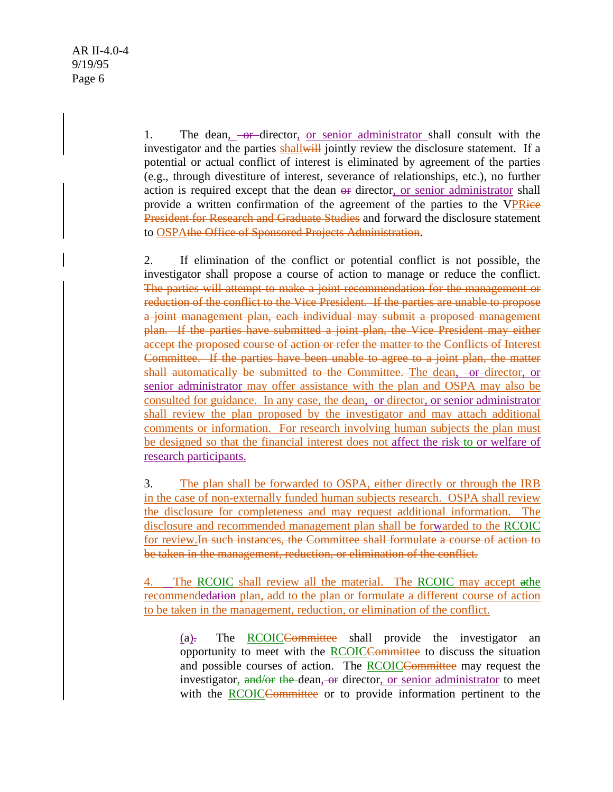1. The dean,  $-$ or-director, or senior administrator shall consult with the investigator and the parties shall will jointly review the disclosure statement. If a potential or actual conflict of interest is eliminated by agreement of the parties (e.g., through divestiture of interest, severance of relationships, etc.), no further action is required except that the dean  $\Theta$  director, or senior administrator shall provide a written confirmation of the agreement of the parties to the VPRice President for Research and Graduate Studies and forward the disclosure statement to OSPAthe Office of Sponsored Projects Administration.

2. If elimination of the conflict or potential conflict is not possible, the investigator shall propose a course of action to manage or reduce the conflict. The parties will attempt to make a joint recommendation for the management or reduction of the conflict to the Vice President. If the parties are unable to propose a joint management plan, each individual may submit a proposed management plan. If the parties have submitted a joint plan, the Vice President may either accept the proposed course of action or refer the matter to the Conflicts of Interest Committee. If the parties have been unable to agree to a joint plan, the matter shall automatically be submitted to the Committee. The dean, -or-director, or senior administrator may offer assistance with the plan and OSPA may also be consulted for guidance. In any case, the dean,  $-$ or-director, or senior administrator shall review the plan proposed by the investigator and may attach additional comments or information. For research involving human subjects the plan must be designed so that the financial interest does not affect the risk to or welfare of research participants.

3. The plan shall be forwarded to OSPA, either directly or through the IRB in the case of non-externally funded human subjects research. OSPA shall review the disclosure for completeness and may request additional information. The disclosure and recommended management plan shall be forwarded to the RCOIC for review.In such instances, the Committee shall formulate a course of action to be taken in the management, reduction, or elimination of the conflict.

4. The RCOIC shall review all the material. The RCOIC may accept athe recommendedation plan, add to the plan or formulate a different course of action to be taken in the management, reduction, or elimination of the conflict.

 $(a)$ . The **RCOICC**-committee shall provide the investigator an opportunity to meet with the RCOICCommittee to discuss the situation and possible courses of action. The RCOICCommittee may request the investigator, and/or the dean, or director, or senior administrator to meet with the RCOICCommittee or to provide information pertinent to the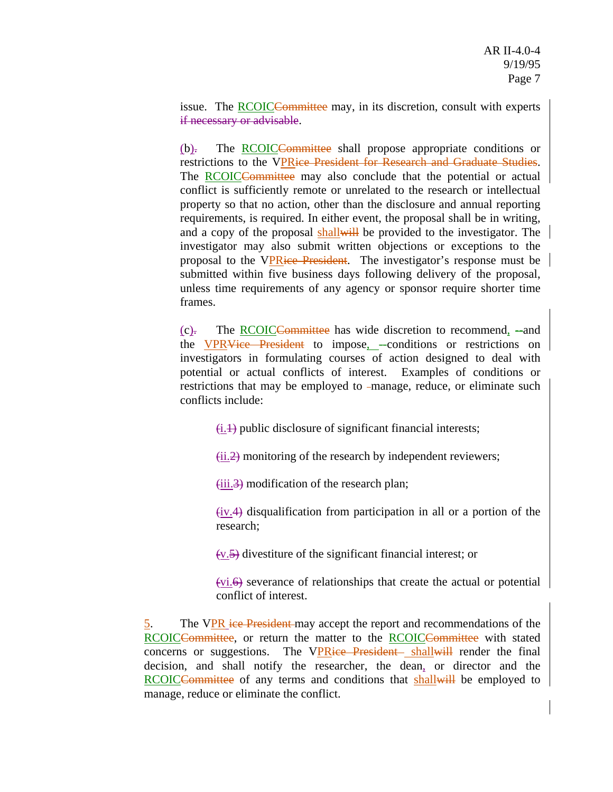issue. The RCOICCommittee may, in its discretion, consult with experts if necessary or advisable.

(b). The RCOICCommittee shall propose appropriate conditions or restrictions to the VPRice President for Research and Graduate Studies. The RCOICCommittee may also conclude that the potential or actual conflict is sufficiently remote or unrelated to the research or intellectual property so that no action, other than the disclosure and annual reporting requirements, is required. In either event, the proposal shall be in writing, and a copy of the proposal shall will be provided to the investigator. The investigator may also submit written objections or exceptions to the proposal to the VPRice President. The investigator's response must be submitted within five business days following delivery of the proposal, unless time requirements of any agency or sponsor require shorter time frames.

(c). The RCOICCommittee has wide discretion to recommend, --and the VPRVice President to impose, -conditions or restrictions on investigators in formulating courses of action designed to deal with potential or actual conflicts of interest. Examples of conditions or restrictions that may be employed to -manage, reduce, or eliminate such conflicts include:

 $\overline{(i.1)}$  public disclosure of significant financial interests;

 $(ii.2)$  monitoring of the research by independent reviewers;

 $(iii.3)$  modification of the research plan;

 $(iv.4)$  disqualification from participation in all or a portion of the research;

 $(v.5)$  divestiture of the significant financial interest; or

 $(vi.6)$  severance of relationships that create the actual or potential conflict of interest.

5. The VPR ice President may accept the report and recommendations of the RCOICCommittee, or return the matter to the RCOICCommittee with stated concerns or suggestions. The VPRice President shall will render the final decision, and shall notify the researcher, the dean, or director and the RCOICCommittee of any terms and conditions that shall will be employed to manage, reduce or eliminate the conflict.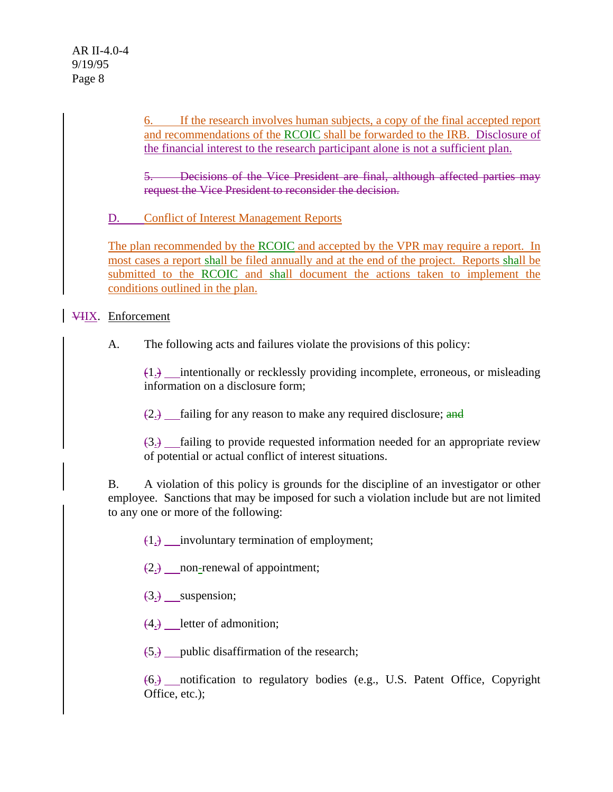6. If the research involves human subjects, a copy of the final accepted report and recommendations of the RCOIC shall be forwarded to the IRB. Disclosure of the financial interest to the research participant alone is not a sufficient plan.

**Exercisions of the Vice President are final, although affected parties may** request the Vice President to reconsider the decision.

D. Conflict of Interest Management Reports

The plan recommended by the RCOIC and accepted by the VPR may require a report. In most cases a report shall be filed annually and at the end of the project. Reports shall be submitted to the RCOIC and shall document the actions taken to implement the conditions outlined in the plan.

# VIIX. Enforcement

A. The following acts and failures violate the provisions of this policy:

 $(1.)$  intentionally or recklessly providing incomplete, erroneous, or misleading information on a disclosure form;

 $(2.)$  failing for any reason to make any required disclosure; and

 $(3.1)$  failing to provide requested information needed for an appropriate review of potential or actual conflict of interest situations.

B. A violation of this policy is grounds for the discipline of an investigator or other employee. Sanctions that may be imposed for such a violation include but are not limited to any one or more of the following:

(1.) involuntary termination of employment;

(2.) non-renewal of appointment;

- (3.) suspension;
- $(4.)$  letter of admonition;

(5.) public disaffirmation of the research;

(6.) notification to regulatory bodies (e.g., U.S. Patent Office, Copyright Office, etc.);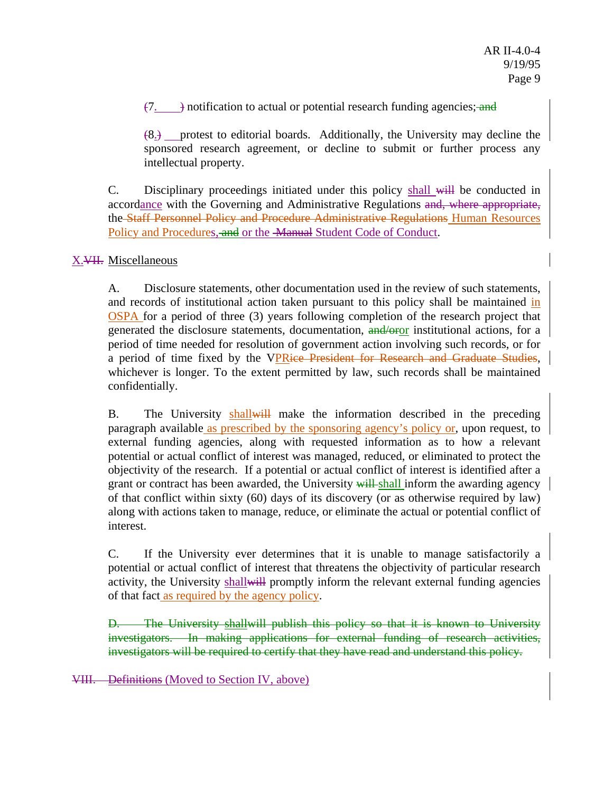$(7. \rightarrow)$  notification to actual or potential research funding agencies; and

(8.) protest to editorial boards. Additionally, the University may decline the sponsored research agreement, or decline to submit or further process any intellectual property.

C. Disciplinary proceedings initiated under this policy shall will be conducted in accordance with the Governing and Administrative Regulations and, where appropriate, the Staff Personnel Policy and Procedure Administrative Regulations Human Resources Policy and Procedures, and or the Manual Student Code of Conduct.

### X.VII. Miscellaneous

A. Disclosure statements, other documentation used in the review of such statements, and records of institutional action taken pursuant to this policy shall be maintained in OSPA for a period of three (3) years following completion of the research project that generated the disclosure statements, documentation, and/oror institutional actions, for a period of time needed for resolution of government action involving such records, or for a period of time fixed by the VPRice President for Research and Graduate Studies, whichever is longer. To the extent permitted by law, such records shall be maintained confidentially.

B. The University shall will make the information described in the preceding paragraph available as prescribed by the sponsoring agency's policy or, upon request, to external funding agencies, along with requested information as to how a relevant potential or actual conflict of interest was managed, reduced, or eliminated to protect the objectivity of the research. If a potential or actual conflict of interest is identified after a grant or contract has been awarded, the University will shall inform the awarding agency of that conflict within sixty (60) days of its discovery (or as otherwise required by law) along with actions taken to manage, reduce, or eliminate the actual or potential conflict of interest.

C. If the University ever determines that it is unable to manage satisfactorily a potential or actual conflict of interest that threatens the objectivity of particular research activity, the University shall will promptly inform the relevant external funding agencies of that fact as required by the agency policy.

D. The University shallwill publish this policy so that it is known to University investigators. In making applications for external funding of research activities, investigators will be required to certify that they have read and understand this policy.

VIII. Definitions (Moved to Section IV, above)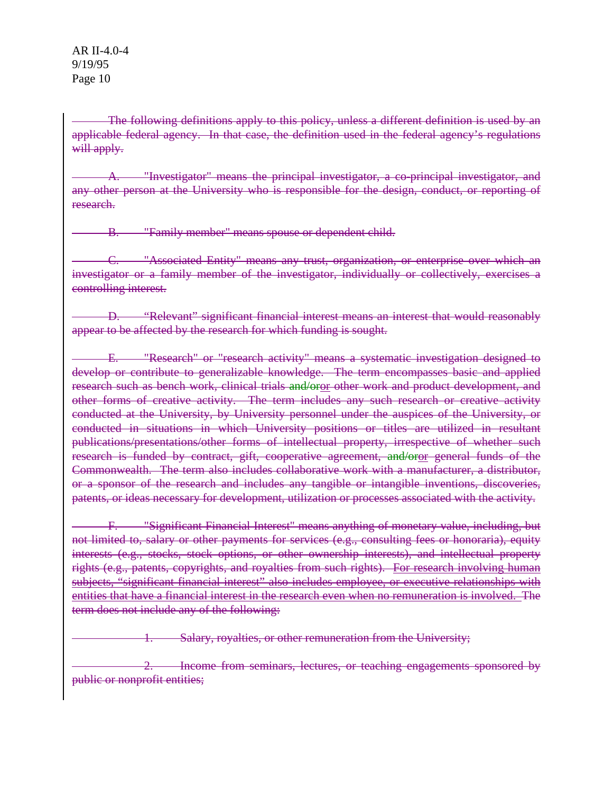The following definitions apply to this policy, unless a different definition is used by an applicable federal agency. In that case, the definition used in the federal agency's regulations will apply.

"Investigator" means the principal investigator, a co-principal investigator, and any other person at the University who is responsible for the design, conduct, or reporting of research.

B. "Family member" means spouse or dependent child.

C. "Associated Entity" means any trust, organization, or enterprise over which an investigator or a family member of the investigator, individually or collectively, exercises a controlling interest.

D. "Relevant" significant financial interest means an interest that would reasonably appear to be affected by the research for which funding is sought.

E. "Research" or "research activity" means a systematic investigation designed to develop or contribute to generalizable knowledge. The term encompasses basic and applied research such as bench work, clinical trials and/oror other work and product development, and other forms of creative activity. The term includes any such research or creative activity conducted at the University, by University personnel under the auspices of the University, or conducted in situations in which University positions or titles are utilized in resultant publications/presentations/other forms of intellectual property, irrespective of whether such research is funded by contract, gift, cooperative agreement, and/oror general funds of the Commonwealth. The term also includes collaborative work with a manufacturer, a distributor, or a sponsor of the research and includes any tangible or intangible inventions, discoveries, patents, or ideas necessary for development, utilization or processes associated with the activity.

F. "Significant Financial Interest" means anything of monetary value, including, but not limited to, salary or other payments for services (e.g., consulting fees or honoraria), equity interests (e.g., stocks, stock options, or other ownership interests), and intellectual property rights (e.g., patents, copyrights, and royalties from such rights). For research involving human subjects, "significant financial interest" also includes employee, or executive relationships with entities that have a financial interest in the research even when no remuneration is involved. The term does not include any of the following:

**1. Salary, royalties, or other remuneration from the University;** 

2. Income from seminars, lectures, or teaching engagements sponsored by public or nonprofit entities;